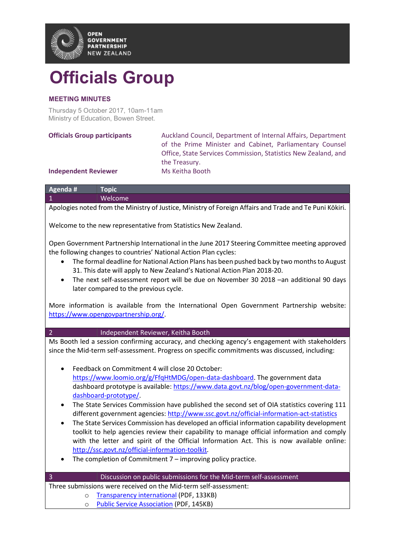

## Officials Group

## MEETING MINUTES

Thursday 5 October 2017, 10am-11am Ministry of Education, Bowen Street.

Auckland Council, Department of Internal Affairs, Department of the Prime Minister and Cabinet, Parliamentary Counsel Office, State Services Commission, Statistics New Zealand, and the Treasury.

## Independent Reviewer Ms Keitha Booth

| Agenda #                                                                                                | $\blacksquare$ Topic $\blacksquare$ |
|---------------------------------------------------------------------------------------------------------|-------------------------------------|
|                                                                                                         | Welcome                             |
| Apologies noted from the Ministry of Justice, Ministry of Foreign Affairs and Trade and Te Puni Kōkiri. |                                     |

Welcome to the new representative from Statistics New Zealand.

Open Government Partnership International in the June 2017 Steering Committee meeting approved the following changes to countries' National Action Plan cycles:

- The formal deadline for National Action Plans has been pushed back by two months to August 31. This date will apply to New Zealand's National Action Plan 2018-20.
- The next self-assessment report will be due on November 30 2018 –an additional 90 days later compared to the previous cycle.

More information is available from the International Open Government Partnership website: https://www.opengovpartnership.org/.

## 2 Independent Reviewer, Keitha Booth

Ms Booth led a session confirming accuracy, and checking agency's engagement with stakeholders since the Mid-term self-assessment. Progress on specific commitments was discussed, including:

- Feedback on Commitment 4 will close 20 October: https://www.loomio.org/g/FfqHtMDG/open-data-dashboard. The government data dashboard prototype is available: https://www.data.govt.nz/blog/open-government-datadashboard-prototype/.
- The State Services Commission have published the second set of OIA statistics covering 111 different government agencies: http://www.ssc.govt.nz/official-information-act-statistics
- The State Services Commission has developed an official information capability development toolkit to help agencies review their capability to manage official information and comply with the letter and spirit of the Official Information Act. This is now available online: http://ssc.govt.nz/official-information-toolkit.
- The completion of Commitment 7 improving policy practice.

| - 3                                                              | Discussion on public submissions for the Mid-term self-assessment |  |
|------------------------------------------------------------------|-------------------------------------------------------------------|--|
| Three submissions were received on the Mid-term self-assessment: |                                                                   |  |
|                                                                  | o Transparency international (PDF, 133KB)                         |  |
|                                                                  | <b>O</b> Public Service Association (PDF, 145KB)                  |  |